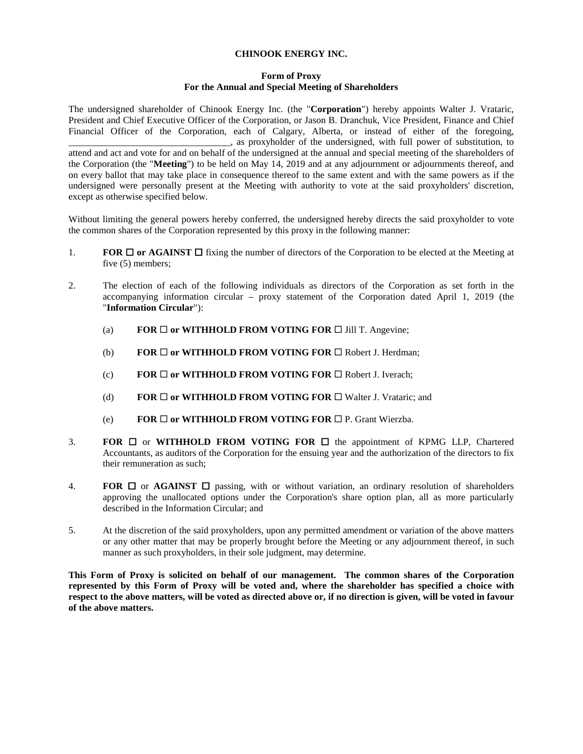## **CHINOOK ENERGY INC.**

## **Form of Proxy For the Annual and Special Meeting of Shareholders**

The undersigned shareholder of Chinook Energy Inc. (the "**Corporation**") hereby appoints Walter J. Vrataric, President and Chief Executive Officer of the Corporation, or Jason B. Dranchuk, Vice President, Finance and Chief Financial Officer of the Corporation, each of Calgary, Alberta, or instead of either of the foregoing, \_\_\_\_\_\_\_\_\_\_\_\_\_\_\_\_\_\_\_\_\_\_\_\_\_\_\_\_\_\_\_\_\_\_, as proxyholder of the undersigned, with full power of substitution, to attend and act and vote for and on behalf of the undersigned at the annual and special meeting of the shareholders of the Corporation (the "**Meeting**") to be held on May 14, 2019 and at any adjournment or adjournments thereof, and on every ballot that may take place in consequence thereof to the same extent and with the same powers as if the undersigned were personally present at the Meeting with authority to vote at the said proxyholders' discretion, except as otherwise specified below.

Without limiting the general powers hereby conferred, the undersigned hereby directs the said proxyholder to vote the common shares of the Corporation represented by this proxy in the following manner:

- 1. **FOR**  $\Box$  **or AGAINST**  $\Box$  fixing the number of directors of the Corporation to be elected at the Meeting at five  $(5)$  members;
- 2. The election of each of the following individuals as directors of the Corporation as set forth in the accompanying information circular – proxy statement of the Corporation dated April 1, 2019 (the "**Information Circular**"):
	- (a) **FOR**  $\Box$  **or WITHHOLD FROM VOTING FOR**  $\Box$  **Jill T. Angevine;**
	- (b) **FOR**  $\Box$  **or WITHHOLD FROM VOTING FOR**  $\Box$  Robert J. Herdman;
	- (c) **FOR**  $\Box$  **or WITHHOLD FROM VOTING FOR**  $\Box$  Robert J. Iverach;
	- (d) **FOR**  $\Box$  **or WITHHOLD FROM VOTING FOR**  $\Box$  **Walter J. Vrataric; and**
	- (e) **FOR**  $\Box$  **or WITHHOLD FROM VOTING FOR**  $\Box$  **P. Grant Wierzba.**
- 3. **FOR**  $\Box$  or **WITHHOLD FROM VOTING FOR**  $\Box$  the appointment of KPMG LLP, Chartered Accountants, as auditors of the Corporation for the ensuing year and the authorization of the directors to fix their remuneration as such;
- 4. **FOR**  $\Box$  or **AGAINST**  $\Box$  passing, with or without variation, an ordinary resolution of shareholders approving the unallocated options under the Corporation's share option plan, all as more particularly described in the Information Circular; and
- 5. At the discretion of the said proxyholders, upon any permitted amendment or variation of the above matters or any other matter that may be properly brought before the Meeting or any adjournment thereof, in such manner as such proxyholders, in their sole judgment, may determine.

**This Form of Proxy is solicited on behalf of our management. The common shares of the Corporation represented by this Form of Proxy will be voted and, where the shareholder has specified a choice with respect to the above matters, will be voted as directed above or, if no direction is given, will be voted in favour of the above matters.**